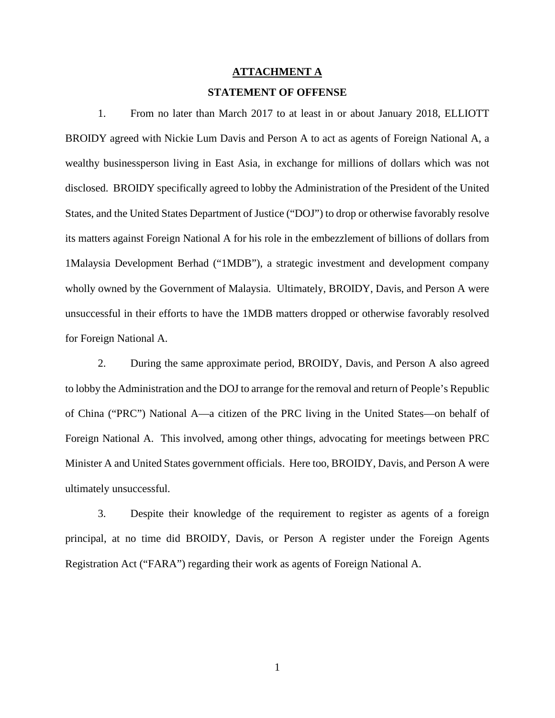#### **ATTACHMENT A**

#### **STATEMENT OF OFFENSE**

1. From no later than March 2017 to at least in or about January 2018, ELLIOTT BROIDY agreed with Nickie Lum Davis and Person A to act as agents of Foreign National A, a wealthy businessperson living in East Asia, in exchange for millions of dollars which was not disclosed. BROIDY specifically agreed to lobby the Administration of the President of the United States, and the United States Department of Justice ("DOJ") to drop or otherwise favorably resolve its matters against Foreign National A for his role in the embezzlement of billions of dollars from 1Malaysia Development Berhad ("1MDB"), a strategic investment and development company wholly owned by the Government of Malaysia. Ultimately, BROIDY, Davis, and Person A were unsuccessful in their efforts to have the 1MDB matters dropped or otherwise favorably resolved for Foreign National A.

2. During the same approximate period, BROIDY, Davis, and Person A also agreed to lobby the Administration and the DOJ to arrange for the removal and return of People's Republic of China ("PRC") National A—a citizen of the PRC living in the United States—on behalf of Foreign National A. This involved, among other things, advocating for meetings between PRC Minister A and United States government officials. Here too, BROIDY, Davis, and Person A were ultimately unsuccessful.

3. Despite their knowledge of the requirement to register as agents of a foreign principal, at no time did BROIDY, Davis, or Person A register under the Foreign Agents Registration Act ("FARA") regarding their work as agents of Foreign National A.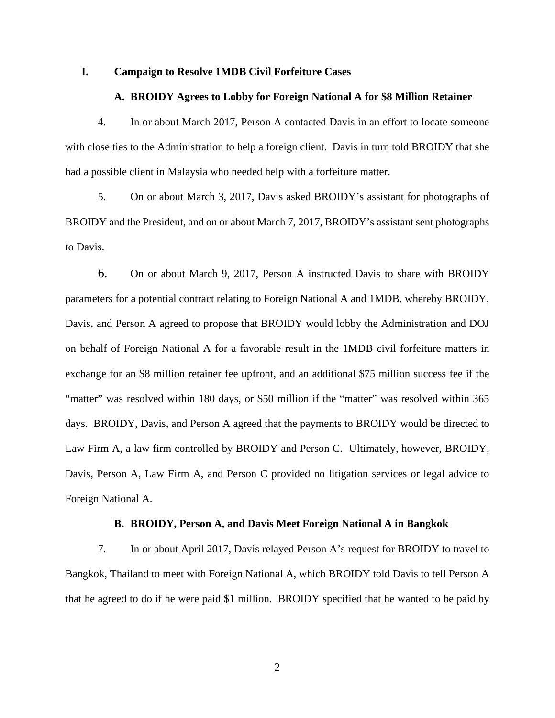# **I. Campaign to Resolve 1MDB Civil Forfeiture Cases**

#### **A. BROIDY Agrees to Lobby for Foreign National A for \$8 Million Retainer**

4. In or about March 2017, Person A contacted Davis in an effort to locate someone with close ties to the Administration to help a foreign client. Davis in turn told BROIDY that she had a possible client in Malaysia who needed help with a forfeiture matter.

5. On or about March 3, 2017, Davis asked BROIDY's assistant for photographs of BROIDY and the President, and on or about March 7, 2017, BROIDY's assistant sent photographs to Davis.

6. On or about March 9, 2017, Person A instructed Davis to share with BROIDY parameters for a potential contract relating to Foreign National A and 1MDB, whereby BROIDY, Davis, and Person A agreed to propose that BROIDY would lobby the Administration and DOJ on behalf of Foreign National A for a favorable result in the 1MDB civil forfeiture matters in exchange for an \$8 million retainer fee upfront, and an additional \$75 million success fee if the "matter" was resolved within 180 days, or \$50 million if the "matter" was resolved within 365 days. BROIDY, Davis, and Person A agreed that the payments to BROIDY would be directed to Law Firm A, a law firm controlled by BROIDY and Person C. Ultimately, however, BROIDY, Davis, Person A, Law Firm A, and Person C provided no litigation services or legal advice to Foreign National A.

### **B. BROIDY, Person A, and Davis Meet Foreign National A in Bangkok**

7. In or about April 2017, Davis relayed Person A's request for BROIDY to travel to Bangkok, Thailand to meet with Foreign National A, which BROIDY told Davis to tell Person A that he agreed to do if he were paid \$1 million. BROIDY specified that he wanted to be paid by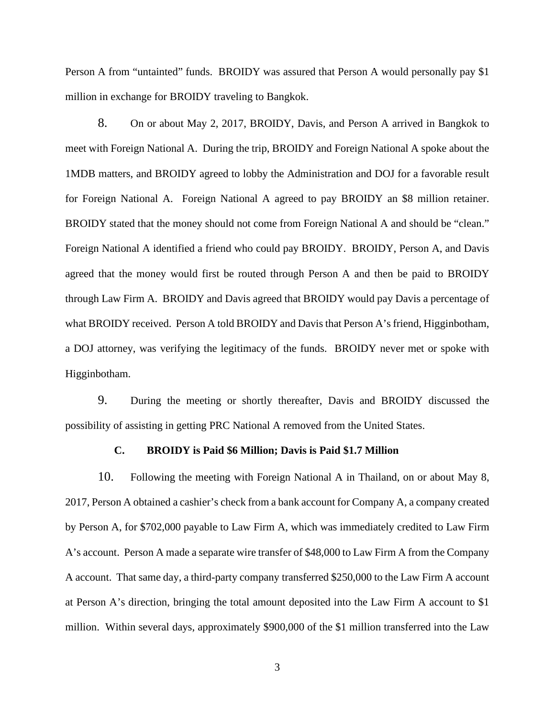Person A from "untainted" funds. BROIDY was assured that Person A would personally pay \$1 million in exchange for BROIDY traveling to Bangkok.

8. On or about May 2, 2017, BROIDY, Davis, and Person A arrived in Bangkok to meet with Foreign National A. During the trip, BROIDY and Foreign National A spoke about the 1MDB matters, and BROIDY agreed to lobby the Administration and DOJ for a favorable result for Foreign National A. Foreign National A agreed to pay BROIDY an \$8 million retainer. BROIDY stated that the money should not come from Foreign National A and should be "clean." Foreign National A identified a friend who could pay BROIDY. BROIDY, Person A, and Davis agreed that the money would first be routed through Person A and then be paid to BROIDY through Law Firm A. BROIDY and Davis agreed that BROIDY would pay Davis a percentage of what BROIDY received. Person A told BROIDY and Davis that Person A's friend, Higginbotham, a DOJ attorney, was verifying the legitimacy of the funds. BROIDY never met or spoke with Higginbotham.

9. During the meeting or shortly thereafter, Davis and BROIDY discussed the possibility of assisting in getting PRC National A removed from the United States.

# **C. BROIDY is Paid \$6 Million; Davis is Paid \$1.7 Million**

10. Following the meeting with Foreign National A in Thailand, on or about May 8, 2017, Person A obtained a cashier's check from a bank account for Company A, a company created by Person A, for \$702,000 payable to Law Firm A, which was immediately credited to Law Firm A's account. Person A made a separate wire transfer of \$48,000 to Law Firm A from the Company A account. That same day, a third-party company transferred \$250,000 to the Law Firm A account at Person A's direction, bringing the total amount deposited into the Law Firm A account to \$1 million. Within several days, approximately \$900,000 of the \$1 million transferred into the Law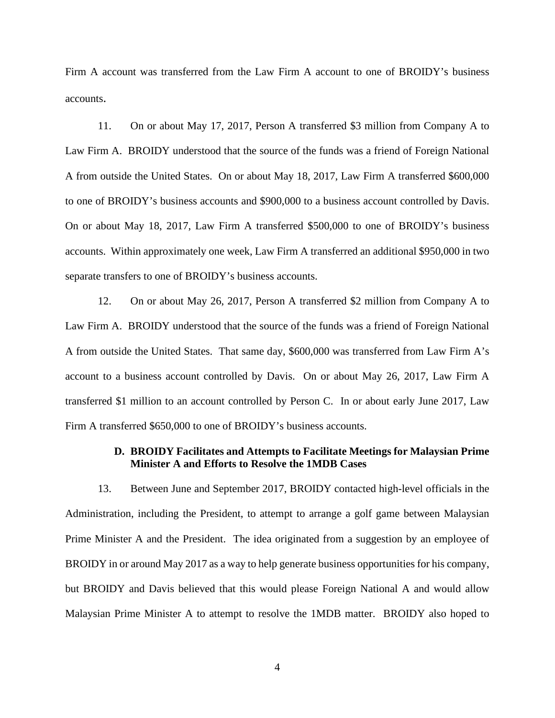Firm A account was transferred from the Law Firm A account to one of BROIDY's business accounts.

11. On or about May 17, 2017, Person A transferred \$3 million from Company A to Law Firm A. BROIDY understood that the source of the funds was a friend of Foreign National A from outside the United States. On or about May 18, 2017, Law Firm A transferred \$600,000 to one of BROIDY's business accounts and \$900,000 to a business account controlled by Davis. On or about May 18, 2017, Law Firm A transferred \$500,000 to one of BROIDY's business accounts. Within approximately one week, Law Firm A transferred an additional \$950,000 in two separate transfers to one of BROIDY's business accounts.

12. On or about May 26, 2017, Person A transferred \$2 million from Company A to Law Firm A. BROIDY understood that the source of the funds was a friend of Foreign National A from outside the United States. That same day, \$600,000 was transferred from Law Firm A's account to a business account controlled by Davis. On or about May 26, 2017, Law Firm A transferred \$1 million to an account controlled by Person C. In or about early June 2017, Law Firm A transferred \$650,000 to one of BROIDY's business accounts.

# **D. BROIDY Facilitates and Attempts to Facilitate Meetings for Malaysian Prime Minister A and Efforts to Resolve the 1MDB Cases**

13. Between June and September 2017, BROIDY contacted high-level officials in the Administration, including the President, to attempt to arrange a golf game between Malaysian Prime Minister A and the President. The idea originated from a suggestion by an employee of BROIDY in or around May 2017 as a way to help generate business opportunities for his company, but BROIDY and Davis believed that this would please Foreign National A and would allow Malaysian Prime Minister A to attempt to resolve the 1MDB matter. BROIDY also hoped to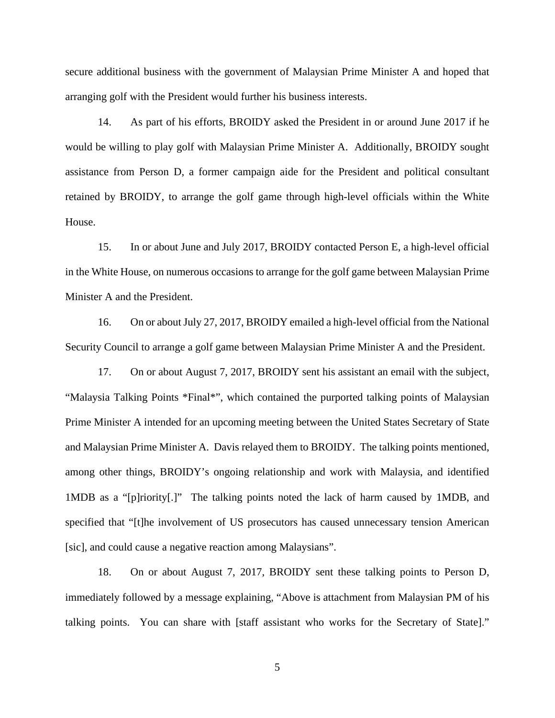secure additional business with the government of Malaysian Prime Minister A and hoped that arranging golf with the President would further his business interests.

14. As part of his efforts, BROIDY asked the President in or around June 2017 if he would be willing to play golf with Malaysian Prime Minister A. Additionally, BROIDY sought assistance from Person D, a former campaign aide for the President and political consultant retained by BROIDY, to arrange the golf game through high-level officials within the White House.

15. In or about June and July 2017, BROIDY contacted Person E, a high-level official in the White House, on numerous occasions to arrange for the golf game between Malaysian Prime Minister A and the President.

16. On or about July 27, 2017, BROIDY emailed a high-level official from the National Security Council to arrange a golf game between Malaysian Prime Minister A and the President.

17. On or about August 7, 2017, BROIDY sent his assistant an email with the subject, "Malaysia Talking Points \*Final\*", which contained the purported talking points of Malaysian Prime Minister A intended for an upcoming meeting between the United States Secretary of State and Malaysian Prime Minister A. Davis relayed them to BROIDY. The talking points mentioned, among other things, BROIDY's ongoing relationship and work with Malaysia, and identified 1MDB as a "[p]riority[.]" The talking points noted the lack of harm caused by 1MDB, and specified that "[t]he involvement of US prosecutors has caused unnecessary tension American [sic], and could cause a negative reaction among Malaysians".

18. On or about August 7, 2017, BROIDY sent these talking points to Person D, immediately followed by a message explaining, "Above is attachment from Malaysian PM of his talking points. You can share with [staff assistant who works for the Secretary of State]."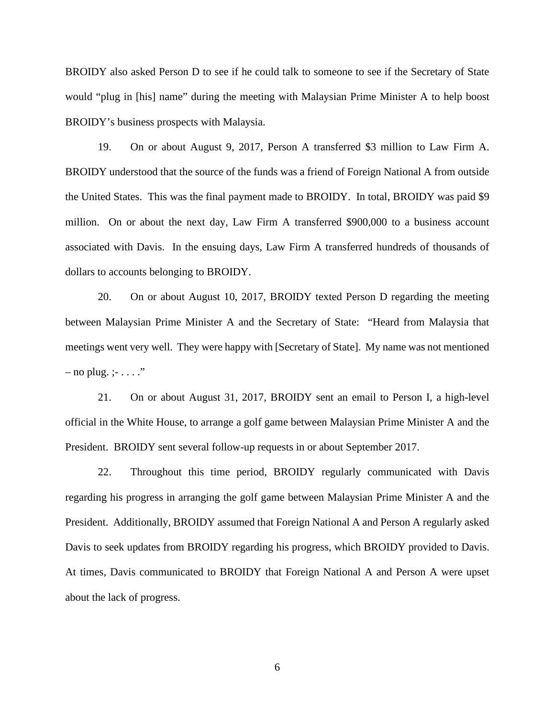BROIDY also asked Person D to see if he could talk to someone to see if the Secretary of State would "plug in [his] name" during the meeting with Malaysian Prime Minister A to help boost BROIDY's business prospects with Malaysia.

19. On or about August 9, 2017, Person A transferred \$3 million to Law Firm A. BROIDY understood that the source of the funds was a friend of Foreign National A from outside the United States. This was the final payment made to BROIDY. In total, BROIDY was paid \$9 million. On or about the next day, Law Firm A transferred \$900,000 to a business account associated with Davis. In the ensuing days, Law Firm A transferred hundreds of thousands of dollars to accounts belonging to BROIDY.

20. On or about August 10, 2017, BROIDY texted Person D regarding the meeting between Malaysian Prime Minister A and the Secretary of State: "Heard from Malaysia that meetings went very well. They were happy with [Secretary of State]. My name was not mentioned  $-$  no plug.  $; \ldots$ ."

21. On or about August 31, 2017, BROIDY sent an email to Person I, a high-level official in the White House, to arrange a golf game between Malaysian Prime Minister A and the President. BROIDY sent several follow-up requests in or about September 2017.

22. Throughout this time period, BROIDY regularly communicated with Davis regarding his progress in arranging the golf game between Malaysian Prime Minister A and the President. Additionally, BROIDY assumed that Foreign National A and Person A regularly asked Davis to seek updates from BROIDY regarding his progress, which BROIDY provided to Davis. At times, Davis communicated to BROIDY that Foreign National A and Person A were upset about the lack of progress.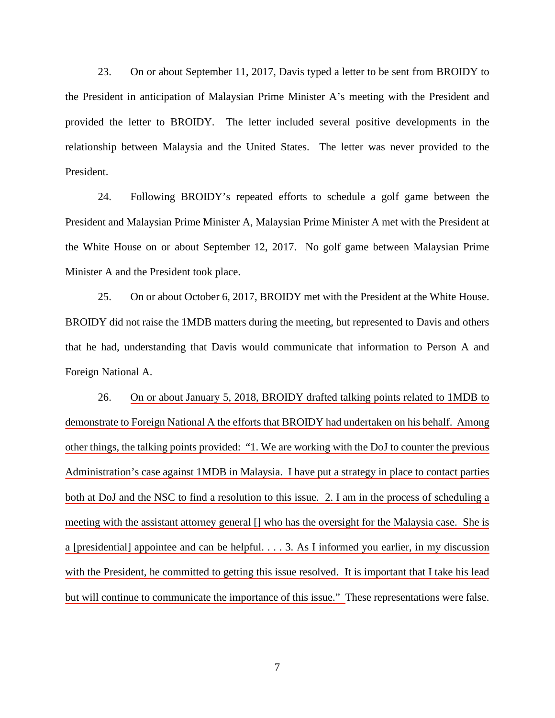23. On or about September 11, 2017, Davis typed a letter to be sent from BROIDY to the President in anticipation of Malaysian Prime Minister A's meeting with the President and provided the letter to BROIDY. The letter included several positive developments in the relationship between Malaysia and the United States. The letter was never provided to the President.

24. Following BROIDY's repeated efforts to schedule a golf game between the President and Malaysian Prime Minister A, Malaysian Prime Minister A met with the President at the White House on or about September 12, 2017. No golf game between Malaysian Prime Minister A and the President took place.

25. On or about October 6, 2017, BROIDY met with the President at the White House. BROIDY did not raise the 1MDB matters during the meeting, but represented to Davis and others that he had, understanding that Davis would communicate that information to Person A and Foreign National A.

26. On or about January 5, 2018, BROIDY drafted talking points related to 1MDB to demonstrate to Foreign National A the efforts that BROIDY had undertaken on his behalf. Among other things, the talking points provided: "1. We are working with the DoJ to counter the previous Administration's case against 1MDB in Malaysia. I have put a strategy in place to contact parties both at DoJ and the NSC to find a resolution to this issue. 2. I am in the process of scheduling a meeting with the assistant attorney general [] who has the oversight for the Malaysia case. She is a [presidential] appointee and can be helpful. . . . 3. As I informed you earlier, in my discussion with the President, he committed to getting this issue resolved. It is important that I take his lead but will continue to communicate the importance of this issue." These representations were false.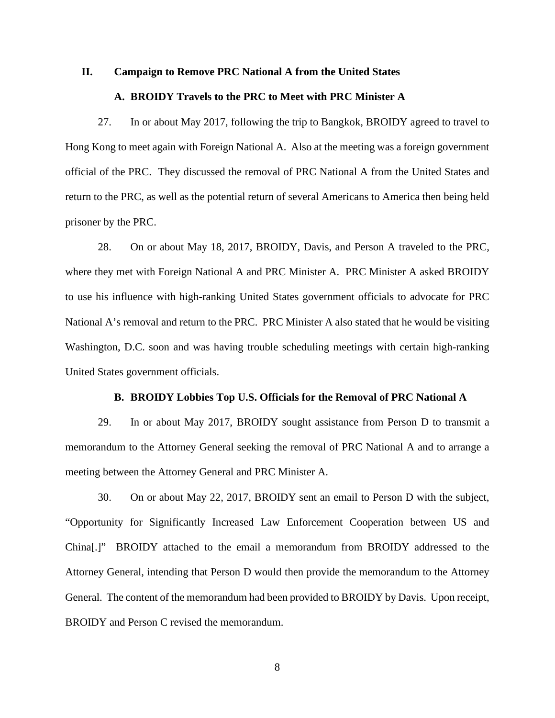#### **II. Campaign to Remove PRC National A from the United States**

# **A. BROIDY Travels to the PRC to Meet with PRC Minister A**

27. In or about May 2017, following the trip to Bangkok, BROIDY agreed to travel to Hong Kong to meet again with Foreign National A. Also at the meeting was a foreign government official of the PRC. They discussed the removal of PRC National A from the United States and return to the PRC, as well as the potential return of several Americans to America then being held prisoner by the PRC.

28. On or about May 18, 2017, BROIDY, Davis, and Person A traveled to the PRC, where they met with Foreign National A and PRC Minister A. PRC Minister A asked BROIDY to use his influence with high-ranking United States government officials to advocate for PRC National A's removal and return to the PRC. PRC Minister A also stated that he would be visiting Washington, D.C. soon and was having trouble scheduling meetings with certain high-ranking United States government officials.

#### **B. BROIDY Lobbies Top U.S. Officials for the Removal of PRC National A**

29. In or about May 2017, BROIDY sought assistance from Person D to transmit a memorandum to the Attorney General seeking the removal of PRC National A and to arrange a meeting between the Attorney General and PRC Minister A.

30. On or about May 22, 2017, BROIDY sent an email to Person D with the subject, "Opportunity for Significantly Increased Law Enforcement Cooperation between US and China[.]" BROIDY attached to the email a memorandum from BROIDY addressed to the Attorney General, intending that Person D would then provide the memorandum to the Attorney General. The content of the memorandum had been provided to BROIDY by Davis. Upon receipt, BROIDY and Person C revised the memorandum.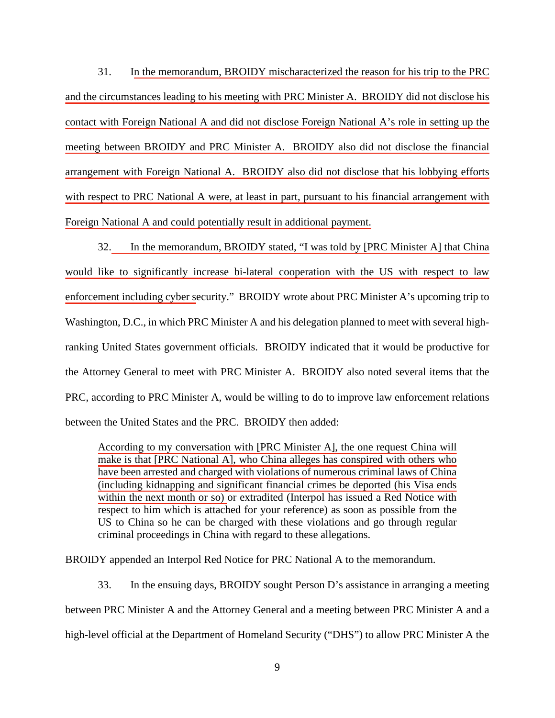31. In the memorandum, BROIDY mischaracterized the reason for his trip to the PRC and the circumstances leading to his meeting with PRC Minister A. BROIDY did not disclose his contact with Foreign National A and did not disclose Foreign National A's role in setting up the meeting between BROIDY and PRC Minister A. BROIDY also did not disclose the financial arrangement with Foreign National A. BROIDY also did not disclose that his lobbying efforts with respect to PRC National A were, at least in part, pursuant to his financial arrangement with Foreign National A and could potentially result in additional payment.

32. In the memorandum, BROIDY stated, "I was told by [PRC Minister A] that China would like to significantly increase bi-lateral cooperation with the US with respect to law enforcement including cyber security." BROIDY wrote about PRC Minister A's upcoming trip to Washington, D.C., in which PRC Minister A and his delegation planned to meet with several highranking United States government officials. BROIDY indicated that it would be productive for the Attorney General to meet with PRC Minister A. BROIDY also noted several items that the PRC, according to PRC Minister A, would be willing to do to improve law enforcement relations between the United States and the PRC. BROIDY then added:

According to my conversation with [PRC Minister A], the one request China will make is that [PRC National A], who China alleges has conspired with others who have been arrested and charged with violations of numerous criminal laws of China (including kidnapping and significant financial crimes be deported (his Visa ends within the next month or so) or extradited (Interpol has issued a Red Notice with respect to him which is attached for your reference) as soon as possible from the US to China so he can be charged with these violations and go through regular criminal proceedings in China with regard to these allegations.

BROIDY appended an Interpol Red Notice for PRC National A to the memorandum.

33. In the ensuing days, BROIDY sought Person D's assistance in arranging a meeting between PRC Minister A and the Attorney General and a meeting between PRC Minister A and a high-level official at the Department of Homeland Security ("DHS") to allow PRC Minister A the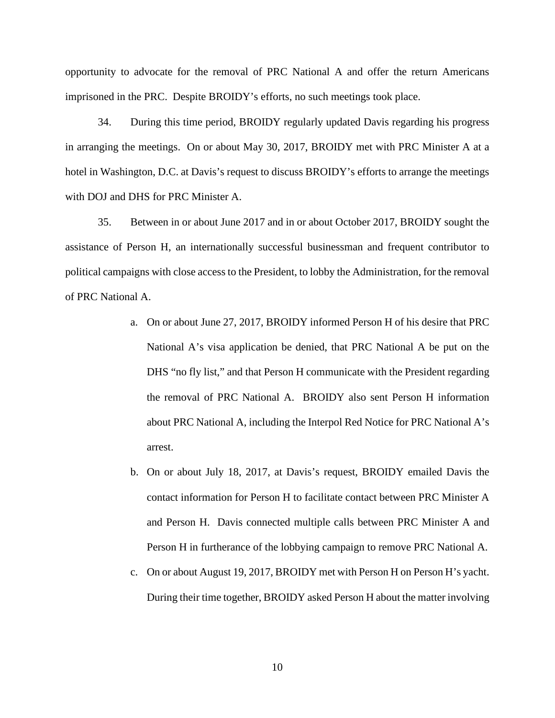opportunity to advocate for the removal of PRC National A and offer the return Americans imprisoned in the PRC. Despite BROIDY's efforts, no such meetings took place.

34. During this time period, BROIDY regularly updated Davis regarding his progress in arranging the meetings. On or about May 30, 2017, BROIDY met with PRC Minister A at a hotel in Washington, D.C. at Davis's request to discuss BROIDY's efforts to arrange the meetings with DOJ and DHS for PRC Minister A.

35. Between in or about June 2017 and in or about October 2017, BROIDY sought the assistance of Person H, an internationally successful businessman and frequent contributor to political campaigns with close access to the President, to lobby the Administration, for the removal of PRC National A.

- a. On or about June 27, 2017, BROIDY informed Person H of his desire that PRC National A's visa application be denied, that PRC National A be put on the DHS "no fly list," and that Person H communicate with the President regarding the removal of PRC National A. BROIDY also sent Person H information about PRC National A, including the Interpol Red Notice for PRC National A's arrest.
- b. On or about July 18, 2017, at Davis's request, BROIDY emailed Davis the contact information for Person H to facilitate contact between PRC Minister A and Person H. Davis connected multiple calls between PRC Minister A and Person H in furtherance of the lobbying campaign to remove PRC National A.
- c. On or about August 19, 2017, BROIDY met with Person H on Person H's yacht. During their time together, BROIDY asked Person H about the matter involving